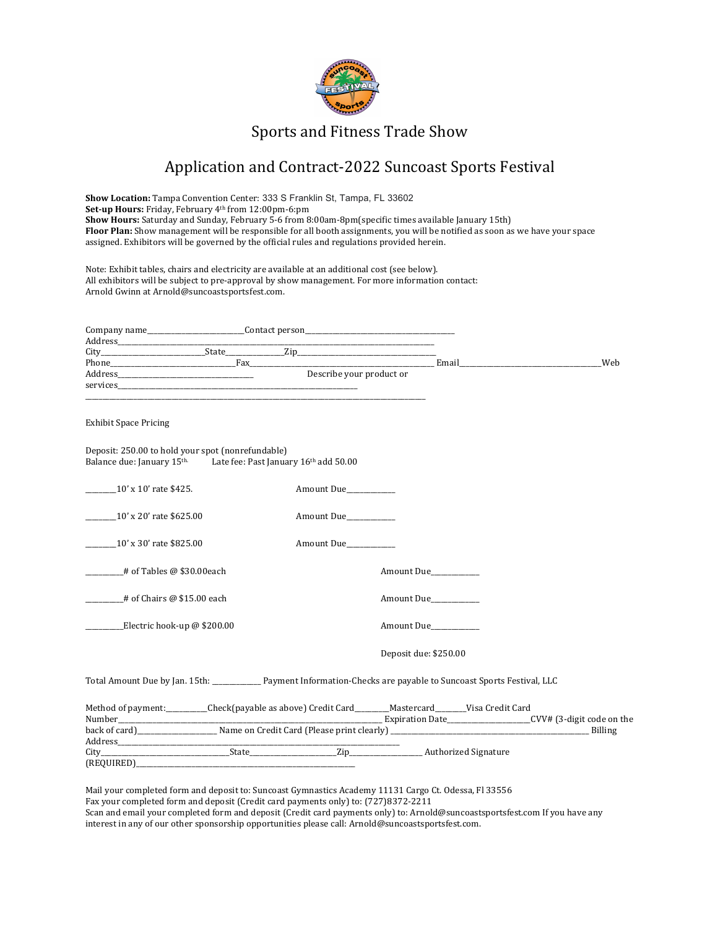

# Sports and Fitness Trade Show

# Application and Contract-2022 Suncoast Sports Festival

**Show Location:** Tampa Convention Center: 333 S Franklin St, Tampa, FL 33602 **Set-up Hours:** Friday, February 4<sup>th</sup> from 12:00pm-6:pm **Show Hours:** Saturday and Sunday, February 5-6 from 8:00am-8pm(specific times available January 15th) Floor Plan: Show management will be responsible for all booth assignments, you will be notified as soon as we have your space assigned. Exhibitors will be governed by the official rules and regulations provided herein.

Note: Exhibit tables, chairs and electricity are available at an additional cost (see below). All exhibitors will be subject to pre-approval by show management. For more information contact: Arnold Gwinn at Arnold@suncoastsportsfest.com.

|                                                                                                                                               | Describe your product or |                       |  |
|-----------------------------------------------------------------------------------------------------------------------------------------------|--------------------------|-----------------------|--|
|                                                                                                                                               |                          |                       |  |
|                                                                                                                                               |                          |                       |  |
| <b>Exhibit Space Pricing</b>                                                                                                                  |                          |                       |  |
| Deposit: 250.00 to hold your spot (nonrefundable)<br>Balance due: January 15 <sup>th.</sup> Late fee: Past January 16 <sup>th</sup> add 50.00 |                          |                       |  |
|                                                                                                                                               | Amount Due               |                       |  |
| _________10' x 20' rate \$625.00                                                                                                              | Amount Due               |                       |  |
| _________10' x 30' rate \$825.00                                                                                                              | Amount Due               |                       |  |
| $\frac{4}{100}$ # of Tables @ \$30.00each                                                                                                     |                          | Amount Due            |  |
| # of Chairs @ \$15.00 each                                                                                                                    |                          | Amount Due            |  |
| Electric hook-up @ \$200.00                                                                                                                   |                          | Amount Due            |  |
|                                                                                                                                               |                          | Deposit due: \$250.00 |  |
| Total Amount Due by Jan. 15th: ______________ Payment Information-Checks are payable to Suncoast Sports Festival, LLC                         |                          |                       |  |
| Method of payment:_________Check(payable as above) Credit Card_______Mastercard_______Visa Credit Card                                        |                          |                       |  |
|                                                                                                                                               |                          |                       |  |
|                                                                                                                                               |                          |                       |  |
|                                                                                                                                               |                          |                       |  |
| (REQUIRED)_____                                                                                                                               |                          |                       |  |

Mail your completed form and deposit to: Suncoast Gymnastics Academy 11131 Cargo Ct. Odessa, Fl 33556 Fax your completed form and deposit (Credit card payments only) to: (727)8372-2211 Scan and email your completed form and deposit (Credit card payments only) to: Arnold@suncoastsportsfest.com If you have any interest in any of our other sponsorship opportunities please call:  $\text{Arnold@sumcoastsportsfest.com.}$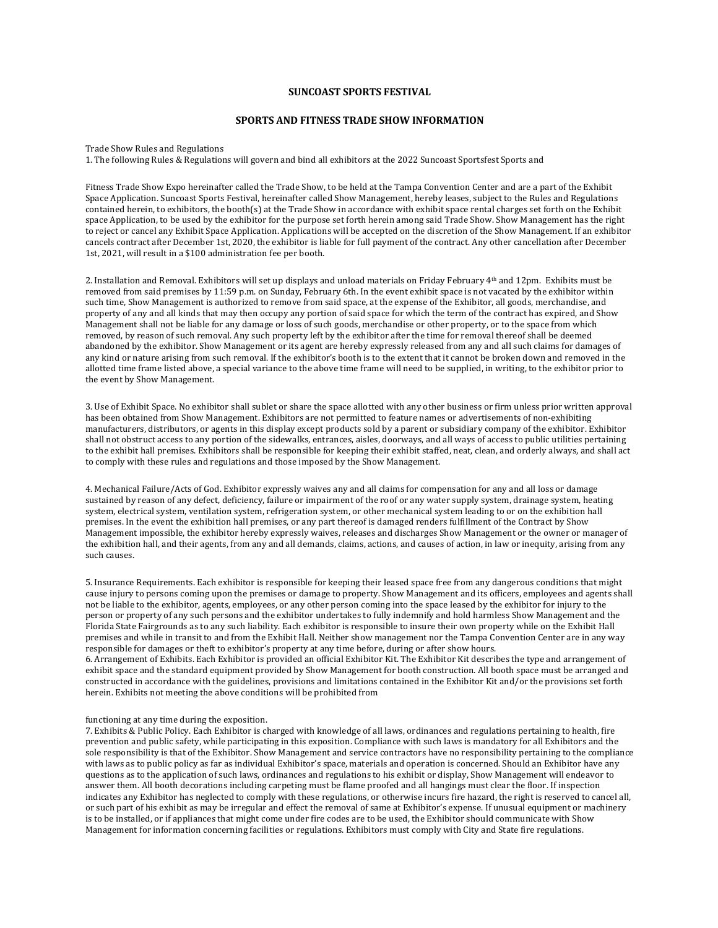## **SUNCOAST SPORTS FESTIVAL**

### **SPORTS AND FITNESS TRADE SHOW INFORMATION**

Trade Show Rules and Regulations

1. The following Rules & Regulations will govern and bind all exhibitors at the 2022 Suncoast Sportsfest Sports and

Fitness Trade Show Expo hereinafter called the Trade Show, to be held at the Tampa Convention Center and are a part of the Exhibit Space Application. Suncoast Sports Festival, hereinafter called Show Management, hereby leases, subject to the Rules and Regulations contained herein, to exhibitors, the booth(s) at the Trade Show in accordance with exhibit space rental charges set forth on the Exhibit space Application, to be used by the exhibitor for the purpose set forth herein among said Trade Show. Show Management has the right to reject or cancel any Exhibit Space Application. Applications will be accepted on the discretion of the Show Management. If an exhibitor cancels contract after December 1st, 2020, the exhibitor is liable for full payment of the contract. Any other cancellation after December 1st, 2021, will result in a \$100 administration fee per booth.

2. Installation and Removal. Exhibitors will set up displays and unload materials on Friday February  $4<sup>th</sup>$  and 12pm. Exhibits must be removed from said premises by 11:59 p.m. on Sunday, February 6th. In the event exhibit space is not vacated by the exhibitor within such time, Show Management is authorized to remove from said space, at the expense of the Exhibitor, all goods, merchandise, and property of any and all kinds that may then occupy any portion of said space for which the term of the contract has expired, and Show Management shall not be liable for any damage or loss of such goods, merchandise or other property, or to the space from which removed, by reason of such removal. Any such property left by the exhibitor after the time for removal thereof shall be deemed abandoned by the exhibitor. Show Management or its agent are hereby expressly released from any and all such claims for damages of any kind or nature arising from such removal. If the exhibitor's booth is to the extent that it cannot be broken down and removed in the allotted time frame listed above, a special variance to the above time frame will need to be supplied, in writing, to the exhibitor prior to the event by Show Management.

3. Use of Exhibit Space. No exhibitor shall sublet or share the space allotted with any other business or firm unless prior written approval has been obtained from Show Management. Exhibitors are not permitted to feature names or advertisements of non-exhibiting manufacturers, distributors, or agents in this display except products sold by a parent or subsidiary company of the exhibitor. Exhibitor shall not obstruct access to any portion of the sidewalks, entrances, aisles, doorways, and all ways of access to public utilities pertaining to the exhibit hall premises. Exhibitors shall be responsible for keeping their exhibit staffed, neat, clean, and orderly always, and shall act to comply with these rules and regulations and those imposed by the Show Management.

4. Mechanical Failure/Acts of God. Exhibitor expressly waives any and all claims for compensation for any and all loss or damage sustained by reason of any defect, deficiency, failure or impairment of the roof or any water supply system, drainage system, heating system, electrical system, ventilation system, refrigeration system, or other mechanical system leading to or on the exhibition hall premises. In the event the exhibition hall premises, or any part thereof is damaged renders fulfillment of the Contract by Show Management impossible, the exhibitor hereby expressly waives, releases and discharges Show Management or the owner or manager of the exhibition hall, and their agents, from any and all demands, claims, actions, and causes of action, in law or inequity, arising from any such causes.

5. Insurance Requirements. Each exhibitor is responsible for keeping their leased space free from any dangerous conditions that might cause injury to persons coming upon the premises or damage to property. Show Management and its officers, employees and agents shall not be liable to the exhibitor, agents, employees, or any other person coming into the space leased by the exhibitor for injury to the person or property of any such persons and the exhibitor undertakes to fully indemnify and hold harmless Show Management and the .<br>Florida State Fairgrounds as to any such liability. Each exhibitor is responsible to insure their own property while on the Exhibit Hall premises and while in transit to and from the Exhibit Hall. Neither show management nor the Tampa Convention Center are in any way responsible for damages or theft to exhibitor's property at any time before, during or after show hours.

6. Arrangement of Exhibits. Each Exhibitor is provided an official Exhibitor Kit. The Exhibitor Kit describes the type and arrangement of exhibit space and the standard equipment provided by Show Management for booth construction. All booth space must be arranged and constructed in accordance with the guidelines, provisions and limitations contained in the Exhibitor Kit and/or the provisions set forth herein. Exhibits not meeting the above conditions will be prohibited from

#### functioning at any time during the exposition.

7. Exhibits & Public Policy. Each Exhibitor is charged with knowledge of all laws, ordinances and regulations pertaining to health, fire prevention and public safety, while participating in this exposition. Compliance with such laws is mandatory for all Exhibitors and the sole responsibility is that of the Exhibitor. Show Management and service contractors have no responsibility pertaining to the compliance with laws as to public policy as far as individual Exhibitor's space, materials and operation is concerned. Should an Exhibitor have any questions as to the application of such laws, ordinances and regulations to his exhibit or display, Show Management will endeavor to answer them. All booth decorations including carpeting must be flame proofed and all hangings must clear the floor. If inspection indicates any Exhibitor has neglected to comply with these regulations, or otherwise incurs fire hazard, the right is reserved to cancel all, or such part of his exhibit as may be irregular and effect the removal of same at Exhibitor's expense. If unusual equipment or machinery is to be installed, or if appliances that might come under fire codes are to be used, the Exhibitor should communicate with Show Management for information concerning facilities or regulations. Exhibitors must comply with City and State fire regulations.